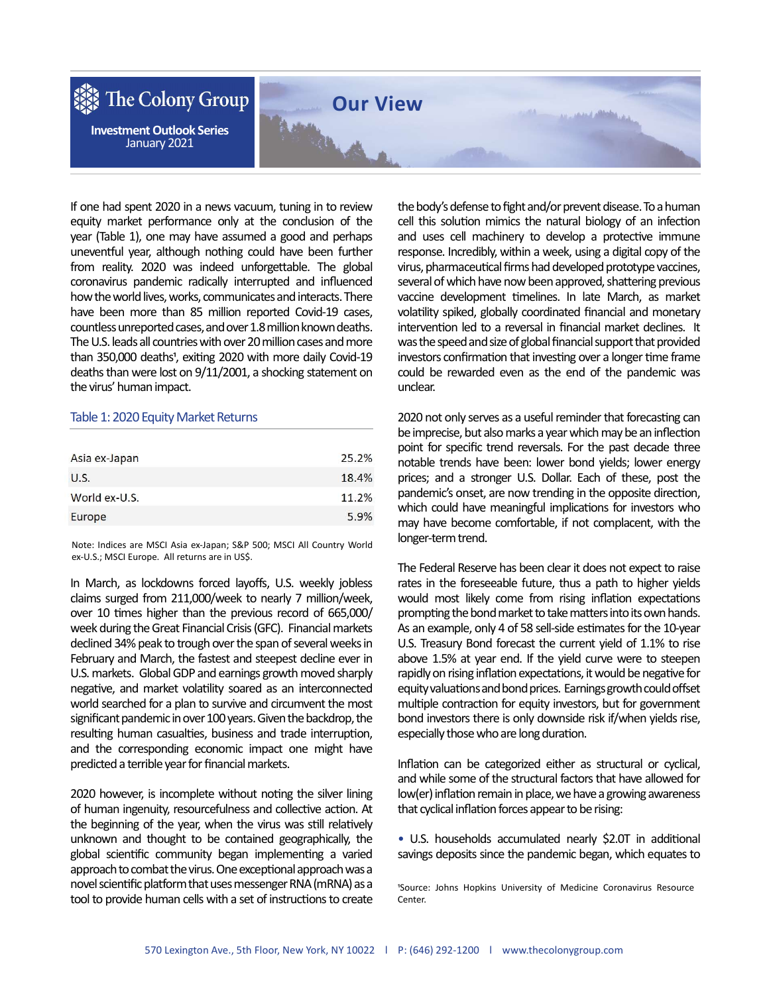

If one had spent 2020 in a news vacuum, tuning in to review equity market performance only at the conclusion of the year (Table 1), one may have assumed a good and perhaps uneventful year, although nothing could have been further from reality. 2020 was indeed unforgettable. The global coronavirus pandemic radically interrupted and influenced how the world lives, works, communicates and interacts. There have been more than 85 million reported Covid-19 cases, countless unreported cases, and over 1.8 million known deaths. The U.S. leads all countries with over 20 million cases and more than 350,000 deaths<sup>1</sup>, exiting 2020 with more daily Covid-19 deaths than were lost on 9/11/2001, a shocking statement on the virus' human impact.

## Table 1: 2020 Equity Market Returns

| 25.2% |
|-------|
| 18.4% |
| 11.2% |
| 5.9%  |
|       |

Note: Indices are MSCI Asia ex-Japan; S&P 500; MSCI All Country World ex-U.S.; MSCI Europe. All returns are in US\$.

In March, as lockdowns forced layoffs, U.S. weekly jobless claims surged from 211,000/week to nearly 7 million/week, over 10 times higher than the previous record of 665,000/ week during the Great Financial Crisis (GFC). Financial markets declined 34% peak to trough over the span of several weeks in February and March, the fastest and steepest decline ever in U.S. markets. Global GDP and earnings growth moved sharply negative, and market volatility soared as an interconnected world searched for a plan to survive and circumvent the most significant pandemic in over 100 years. Given the backdrop, the resulting human casualties, business and trade interruption, and the corresponding economic impact one might have predicted a terrible year for financial markets.

2020 however, is incomplete without noting the silver lining of human ingenuity, resourcefulness and collective action. At the beginning of the year, when the virus was still relatively unknown and thought to be contained geographically, the global scientific community began implementing a varied approach to combat the virus. One exceptional approach was a novel scientific platform that uses messenger RNA (mRNA) as a tool to provide human cells with a set of instructions to create

the body's defense to fight and/or prevent disease. To a human cell this solution mimics the natural biology of an infection and uses cell machinery to develop a protective immune response. Incredibly, within a week, using a digital copy of the virus, pharmaceutical firms had developed prototype vaccines, several of which have now been approved, shattering previous vaccine development timelines. In late March, as market volatility spiked, globally coordinated financial and monetary intervention led to a reversal in financial market declines. It was the speed and size of global financial support that provided investors confirmation that investing over a longer time frame could be rewarded even as the end of the pandemic was unclear.

2020 not only serves as a useful reminder that forecasting can be imprecise, but also marks a year which may be an inflection point for specific trend reversals. For the past decade three notable trends have been: lower bond yields; lower energy prices; and a stronger U.S. Dollar. Each of these, post the pandemic's onset, are now trending in the opposite direction, which could have meaningful implications for investors who may have become comfortable, if not complacent, with the longer-term trend.

The Federal Reserve has been clear it does not expect to raise rates in the foreseeable future, thus a path to higher yields would most likely come from rising inflation expectations prompting the bond market to take matters into its own hands. As an example, only 4 of 58 sell-side estimates for the 10-year U.S. Treasury Bond forecast the current yield of 1.1% to rise above 1.5% at year end. If the yield curve were to steepen rapidly on rising inflation expectations, it would be negative for equity valuations and bond prices. Earnings growth could offset multiple contraction for equity investors, but for government bond investors there is only downside risk if/when yields rise, especially those who are long duration.

Inflation can be categorized either as structural or cyclical, and while some of the structural factors that have allowed for low(er) inflation remain in place, we have a growing awareness that cyclical inflation forces appear to be rising:

• U.S. households accumulated nearly \$2.0T in additional savings deposits since the pandemic began, which equates to

<sup>1</sup>Source: Johns Hopkins University of Medicine Coronavirus Resource Center.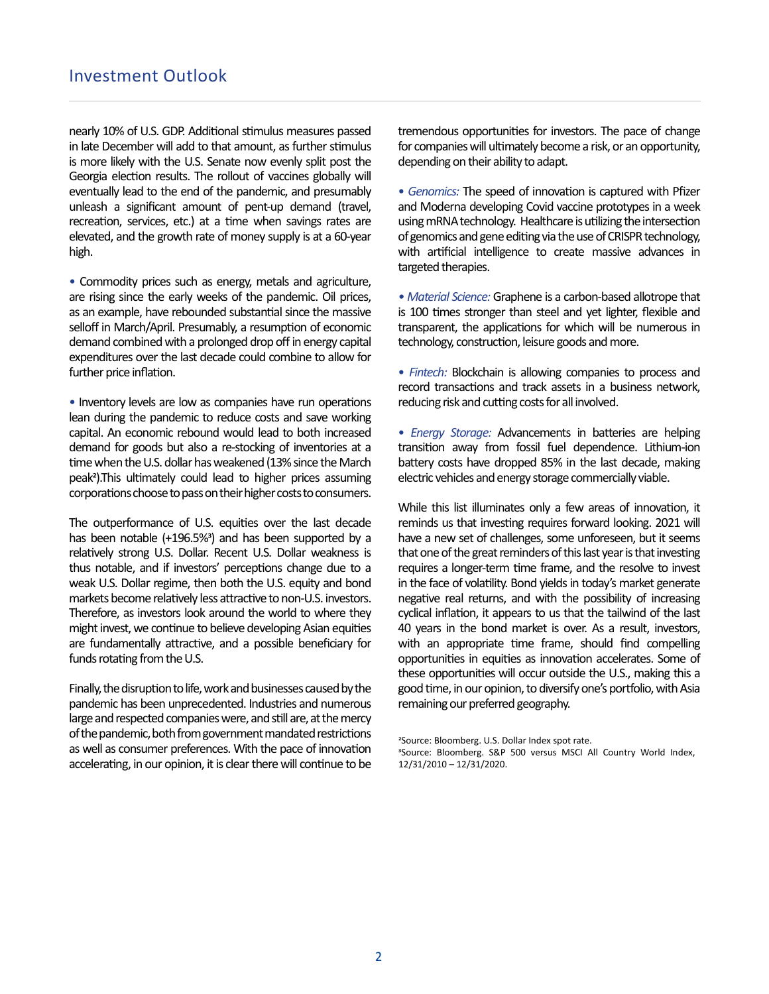nearly 10% of U.S. GDP. Additional stimulus measures passed in late December will add to that amount, as further stimulus is more likely with the U.S. Senate now evenly split post the Georgia election results. The rollout of vaccines globally will eventually lead to the end of the pandemic, and presumably unleash a significant amount of pent-up demand (travel, recreation, services, etc.) at a time when savings rates are elevated, and the growth rate of money supply is at a 60-year high.

• Commodity prices such as energy, metals and agriculture, are rising since the early weeks of the pandemic. Oil prices, as an example, have rebounded substantial since the massive selloff in March/April. Presumably, a resumption of economic demand combined with a prolonged drop off in energy capital expenditures over the last decade could combine to allow for further price inflation.

• Inventory levels are low as companies have run operations lean during the pandemic to reduce costs and save working capital. An economic rebound would lead to both increased demand for goods but also a re-stocking of inventories at a time when the U.S. dollar has weakened (13% since the March peak<sup>2</sup>).This ultimately could lead to higher prices assuming corporations choose to pass on their higher costs to consumers.

The outperformance of U.S. equities over the last decade has been notable  $(+196.5%)$  and has been supported by a relatively strong U.S. Dollar. Recent U.S. Dollar weakness is thus notable, and if investors' perceptions change due to a weak U.S. Dollar regime, then both the U.S. equity and bond markets become relatively less attractive to non-U.S. investors. Therefore, as investors look around the world to where they might invest, we continue to believe developing Asian equities are fundamentally attractive, and a possible beneficiary for funds rotating from the U.S.

Finally, the disruption to life, work and businesses caused by the pandemic has been unprecedented. Industries and numerous large and respected companies were, and still are, at the mercy of the pandemic, both from government mandated restrictions as well as consumer preferences. With the pace of innovation accelerating, in our opinion, it is clear there will continue to be tremendous opportunities for investors. The pace of change for companies will ultimately become a risk, or an opportunity, depending on their ability to adapt.

• Genomics: The speed of innovation is captured with Pfizer and Moderna developing Covid vaccine prototypes in a week using mRNA technology. Healthcare is utilizing the intersection of genomics and gene editing via the use of CRISPR technology, with artificial intelligence to create massive advances in targeted therapies.

• Material Science: Graphene is a carbon-based allotrope that is 100 times stronger than steel and yet lighter, flexible and transparent, the applications for which will be numerous in technology, construction, leisure goods and more.

• Fintech: Blockchain is allowing companies to process and record transactions and track assets in a business network, reducing risk and cutting costs for all involved.

• Energy Storage: Advancements in batteries are helping transition away from fossil fuel dependence. Lithium-ion battery costs have dropped 85% in the last decade, making electric vehicles and energy storage commercially viable.

While this list illuminates only a few areas of innovation, it reminds us that investing requires forward looking. 2021 will have a new set of challenges, some unforeseen, but it seems that one of the great reminders of this last year is that investing requires a longer-term time frame, and the resolve to invest in the face of volatility. Bond yields in today's market generate negative real returns, and with the possibility of increasing cyclical inflation, it appears to us that the tailwind of the last 40 years in the bond market is over. As a result, investors, with an appropriate time frame, should find compelling opportunities in equities as innovation accelerates. Some of these opportunities will occur outside the U.S., making this a good time, in our opinion, to diversify one's portfolio, with Asia remaining our preferred geography.

<sup>3</sup>Source: Bloomberg. S&P 500 versus MSCI All Country World Index, 12/31/2010 – 12/31/2020.

<sup>&</sup>lt;sup>2</sup>Source: Bloomberg. U.S. Dollar Index spot rate.